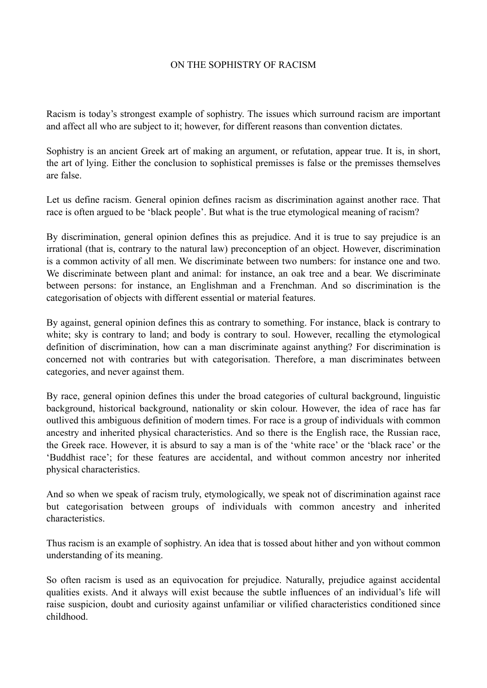## ON THE SOPHISTRY OF RACISM

Racism is today's strongest example of sophistry. The issues which surround racism are important and affect all who are subject to it; however, for different reasons than convention dictates.

Sophistry is an ancient Greek art of making an argument, or refutation, appear true. It is, in short, the art of lying. Either the conclusion to sophistical premisses is false or the premisses themselves are false.

Let us define racism. General opinion defines racism as discrimination against another race. That race is often argued to be 'black people'. But what is the true etymological meaning of racism?

By discrimination, general opinion defines this as prejudice. And it is true to say prejudice is an irrational (that is, contrary to the natural law) preconception of an object. However, discrimination is a common activity of all men. We discriminate between two numbers: for instance one and two. We discriminate between plant and animal: for instance, an oak tree and a bear. We discriminate between persons: for instance, an Englishman and a Frenchman. And so discrimination is the categorisation of objects with different essential or material features.

By against, general opinion defines this as contrary to something. For instance, black is contrary to white; sky is contrary to land; and body is contrary to soul. However, recalling the etymological definition of discrimination, how can a man discriminate against anything? For discrimination is concerned not with contraries but with categorisation. Therefore, a man discriminates between categories, and never against them.

By race, general opinion defines this under the broad categories of cultural background, linguistic background, historical background, nationality or skin colour. However, the idea of race has far outlived this ambiguous definition of modern times. For race is a group of individuals with common ancestry and inherited physical characteristics. And so there is the English race, the Russian race, the Greek race. However, it is absurd to say a man is of the 'white race' or the 'black race' or the 'Buddhist race'; for these features are accidental, and without common ancestry nor inherited physical characteristics.

And so when we speak of racism truly, etymologically, we speak not of discrimination against race but categorisation between groups of individuals with common ancestry and inherited characteristics.

Thus racism is an example of sophistry. An idea that is tossed about hither and yon without common understanding of its meaning.

So often racism is used as an equivocation for prejudice. Naturally, prejudice against accidental qualities exists. And it always will exist because the subtle influences of an individual's life will raise suspicion, doubt and curiosity against unfamiliar or vilified characteristics conditioned since childhood.